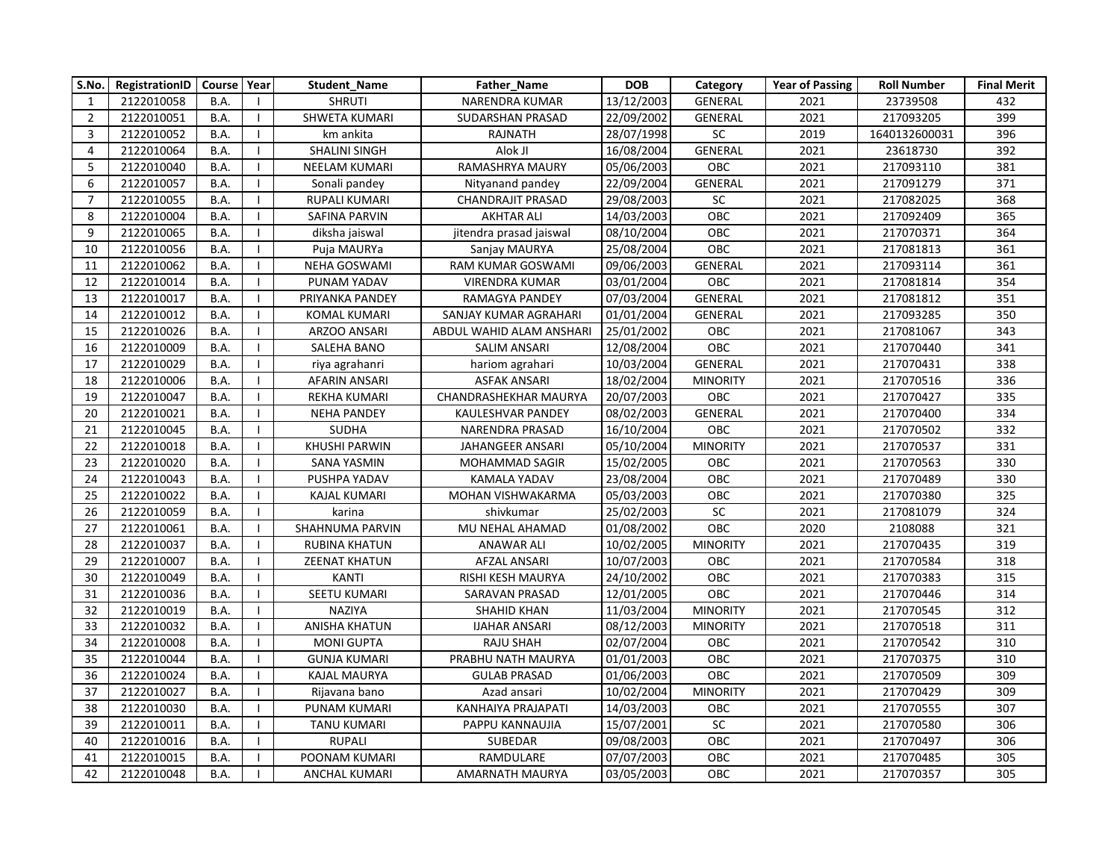| S.No.          | RegistrationID | Course   Year |                | <b>Student Name</b>  | <b>Father Name</b>       | <b>DOB</b> | Category        | <b>Year of Passing</b> | <b>Roll Number</b> | <b>Final Merit</b> |
|----------------|----------------|---------------|----------------|----------------------|--------------------------|------------|-----------------|------------------------|--------------------|--------------------|
| 1              | 2122010058     | <b>B.A.</b>   |                | <b>SHRUTI</b>        | NARENDRA KUMAR           | 13/12/2003 | GENERAL         | 2021                   | 23739508           | 432                |
| $\overline{2}$ | 2122010051     | B.A.          | -1             | SHWETA KUMARI        | SUDARSHAN PRASAD         | 22/09/2002 | <b>GENERAL</b>  | 2021                   | 217093205          | 399                |
| 3              | 2122010052     | B.A.          | $\mathbf{I}$   | km ankita            | RAJNATH                  | 28/07/1998 | $\sf SC$        | 2019                   | 1640132600031      | 396                |
| 4              | 2122010064     | B.A.          | $\mathbf{I}$   | <b>SHALINI SINGH</b> | Alok JI                  | 16/08/2004 | <b>GENERAL</b>  | 2021                   | 23618730           | 392                |
| 5              | 2122010040     | <b>B.A.</b>   | $\mathbf{I}$   | NEELAM KUMARI        | RAMASHRYA MAURY          | 05/06/2003 | <b>OBC</b>      | 2021                   | 217093110          | 381                |
| 6              | 2122010057     | B.A.          |                | Sonali pandey        | Nityanand pandey         | 22/09/2004 | <b>GENERAL</b>  | 2021                   | 217091279          | 371                |
| $\overline{7}$ | 2122010055     | B.A.          |                | RUPALI KUMARI        | <b>CHANDRAJIT PRASAD</b> | 29/08/2003 | $\sf SC$        | 2021                   | 217082025          | 368                |
| 8              | 2122010004     | B.A.          |                | SAFINA PARVIN        | <b>AKHTAR ALI</b>        | 14/03/2003 | OBC             | 2021                   | 217092409          | 365                |
| 9              | 2122010065     | B.A.          |                | diksha jaiswal       | jitendra prasad jaiswal  | 08/10/2004 | OBC             | 2021                   | 217070371          | 364                |
| 10             | 2122010056     | B.A.          | $\mathbf{I}$   | Puja MAURYa          | Sanjay MAURYA            | 25/08/2004 | OBC             | 2021                   | 217081813          | 361                |
| 11             | 2122010062     | B.A.          |                | NEHA GOSWAMI         | RAM KUMAR GOSWAMI        | 09/06/2003 | <b>GENERAL</b>  | 2021                   | 217093114          | 361                |
| 12             | 2122010014     | B.A.          | $\mathbf{I}$   | PUNAM YADAV          | <b>VIRENDRA KUMAR</b>    | 03/01/2004 | OBC             | 2021                   | 217081814          | 354                |
| 13             | 2122010017     | B.A.          |                | PRIYANKA PANDEY      | RAMAGYA PANDEY           | 07/03/2004 | <b>GENERAL</b>  | 2021                   | 217081812          | 351                |
| 14             | 2122010012     | B.A.          | $\mathbf{I}$   | <b>KOMAL KUMARI</b>  | SANJAY KUMAR AGRAHARI    | 01/01/2004 | GENERAL         | 2021                   | 217093285          | 350                |
| 15             | 2122010026     | B.A.          |                | ARZOO ANSARI         | ABDUL WAHID ALAM ANSHARI | 25/01/2002 | OBC             | 2021                   | 217081067          | 343                |
| 16             | 2122010009     | B.A.          | - 1            | SALEHA BANO          | SALIM ANSARI             | 12/08/2004 | <b>OBC</b>      | 2021                   | 217070440          | 341                |
| 17             | 2122010029     | B.A.          | -1             | riya agrahanri       | hariom agrahari          | 10/03/2004 | GENERAL         | 2021                   | 217070431          | 338                |
| 18             | 2122010006     | B.A.          |                | AFARIN ANSARI        | <b>ASFAK ANSARI</b>      | 18/02/2004 | <b>MINORITY</b> | 2021                   | 217070516          | 336                |
| 19             | 2122010047     | B.A.          |                | REKHA KUMARI         | CHANDRASHEKHAR MAURYA    | 20/07/2003 | OBC             | 2021                   | 217070427          | 335                |
| 20             | 2122010021     | <b>B.A.</b>   | $\blacksquare$ | <b>NEHA PANDEY</b>   | KAULESHVAR PANDEY        | 08/02/2003 | <b>GENERAL</b>  | 2021                   | 217070400          | 334                |
| 21             | 2122010045     | B.A.          | $\mathbf{I}$   | <b>SUDHA</b>         | NARENDRA PRASAD          | 16/10/2004 | OBC             | 2021                   | 217070502          | 332                |
| 22             | 2122010018     | B.A.          |                | <b>KHUSHI PARWIN</b> | JAHANGEER ANSARI         | 05/10/2004 | <b>MINORITY</b> | 2021                   | 217070537          | 331                |
| 23             | 2122010020     | B.A.          | - 1            | <b>SANA YASMIN</b>   | <b>MOHAMMAD SAGIR</b>    | 15/02/2005 | OBC             | 2021                   | 217070563          | 330                |
| 24             | 2122010043     | B.A.          |                | PUSHPA YADAV         | KAMALA YADAV             | 23/08/2004 | OBC             | 2021                   | 217070489          | 330                |
| 25             | 2122010022     | B.A.          | $\mathbf{I}$   | KAJAL KUMARI         | MOHAN VISHWAKARMA        | 05/03/2003 | OBC             | 2021                   | 217070380          | 325                |
| 26             | 2122010059     | B.A.          |                | karina               | shivkumar                | 25/02/2003 | SC              | 2021                   | 217081079          | 324                |
| 27             | 2122010061     | B.A.          | - 1            | SHAHNUMA PARVIN      | MU NEHAL AHAMAD          | 01/08/2002 | <b>OBC</b>      | 2020                   | 2108088            | 321                |
| 28             | 2122010037     | B.A.          |                | <b>RUBINA KHATUN</b> | <b>ANAWAR ALI</b>        | 10/02/2005 | <b>MINORITY</b> | 2021                   | 217070435          | 319                |
| 29             | 2122010007     | B.A.          | $\mathbf{I}$   | <b>ZEENAT KHATUN</b> | AFZAL ANSARI             | 10/07/2003 | OBC             | 2021                   | 217070584          | 318                |
| 30             | 2122010049     | B.A.          |                | <b>KANTI</b>         | RISHI KESH MAURYA        | 24/10/2002 | OBC             | 2021                   | 217070383          | 315                |
| 31             | 2122010036     | B.A.          | $\mathbf{I}$   | SEETU KUMARI         | SARAVAN PRASAD           | 12/01/2005 | <b>OBC</b>      | 2021                   | 217070446          | 314                |
| 32             | 2122010019     | B.A.          | $\blacksquare$ | NAZIYA               | <b>SHAHID KHAN</b>       | 11/03/2004 | <b>MINORITY</b> | 2021                   | 217070545          | 312                |
| 33             | 2122010032     | B.A.          | - 1            | <b>ANISHA KHATUN</b> | <b>IJAHAR ANSARI</b>     | 08/12/2003 | <b>MINORITY</b> | 2021                   | 217070518          | 311                |
| 34             | 2122010008     | B.A.          | $\overline{1}$ | <b>MONI GUPTA</b>    | RAJU SHAH                | 02/07/2004 | OBC             | 2021                   | 217070542          | 310                |
| 35             | 2122010044     | B.A.          |                | <b>GUNJA KUMARI</b>  | PRABHU NATH MAURYA       | 01/01/2003 | OBC             | 2021                   | 217070375          | 310                |
| 36             | 2122010024     | B.A.          |                | KAJAL MAURYA         | <b>GULAB PRASAD</b>      | 01/06/2003 | <b>OBC</b>      | 2021                   | 217070509          | 309                |
| 37             | 2122010027     | B.A.          |                | Rijavana bano        | Azad ansari              | 10/02/2004 | <b>MINORITY</b> | 2021                   | 217070429          | 309                |
| 38             | 2122010030     | B.A.          |                | PUNAM KUMARI         | KANHAIYA PRAJAPATI       | 14/03/2003 | OBC             | 2021                   | 217070555          | 307                |
| 39             | 2122010011     | B.A.          |                | <b>TANU KUMARI</b>   | PAPPU KANNAUJIA          | 15/07/2001 | $\sf SC$        | 2021                   | 217070580          | 306                |
| 40             | 2122010016     | B.A.          | $\mathbf{I}$   | <b>RUPALI</b>        | SUBEDAR                  | 09/08/2003 | OBC             | 2021                   | 217070497          | 306                |
| 41             | 2122010015     | B.A.          |                | POONAM KUMARI        | RAMDULARE                | 07/07/2003 | OBC             | 2021                   | 217070485          | 305                |
| 42             | 2122010048     | B.A.          |                | <b>ANCHAL KUMARI</b> | AMARNATH MAURYA          | 03/05/2003 | OBC             | 2021                   | 217070357          | 305                |